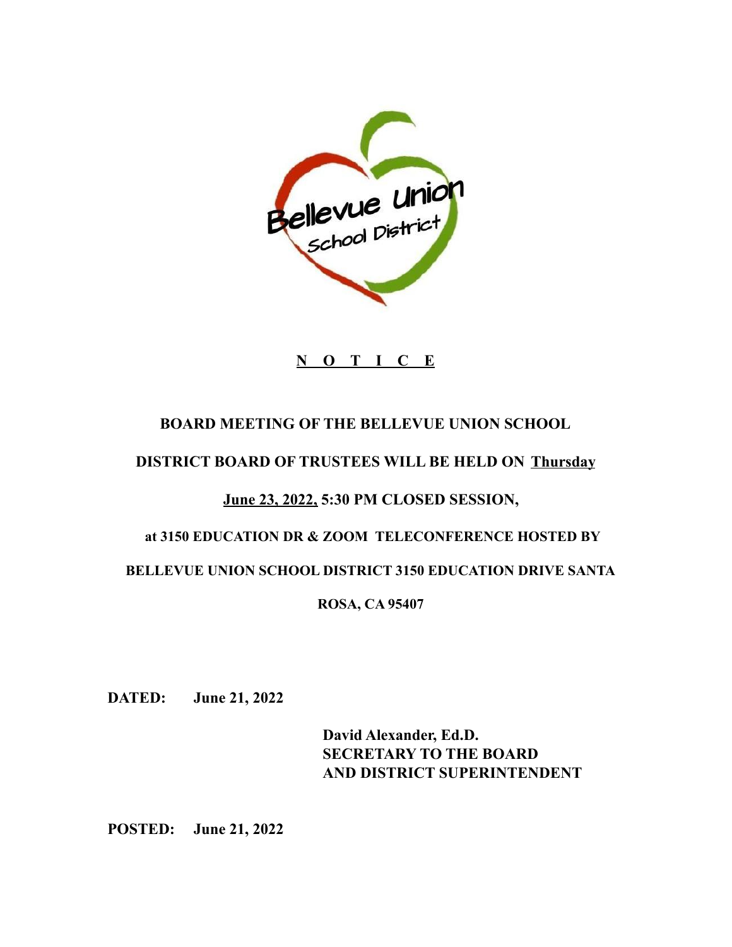

# **N O T I C E**

### **BOARD MEETING OF THE BELLEVUE UNION SCHOOL**

#### **DISTRICT BOARD OF TRUSTEES WILL BE HELD ON Thursday**

# **June 23, 2022, 5:30 PM CLOSED SESSION,**

# **at 3150 EDUCATION DR & ZOOM TELECONFERENCE HOSTED BY**

#### **BELLEVUE UNION SCHOOL DISTRICT 3150 EDUCATION DRIVE SANTA**

#### **ROSA, CA 95407**

**DATED: June 21, 2022**

**David Alexander, Ed.D. SECRETARY TO THE BOARD AND DISTRICT SUPERINTENDENT**

**POSTED: June 21, 2022**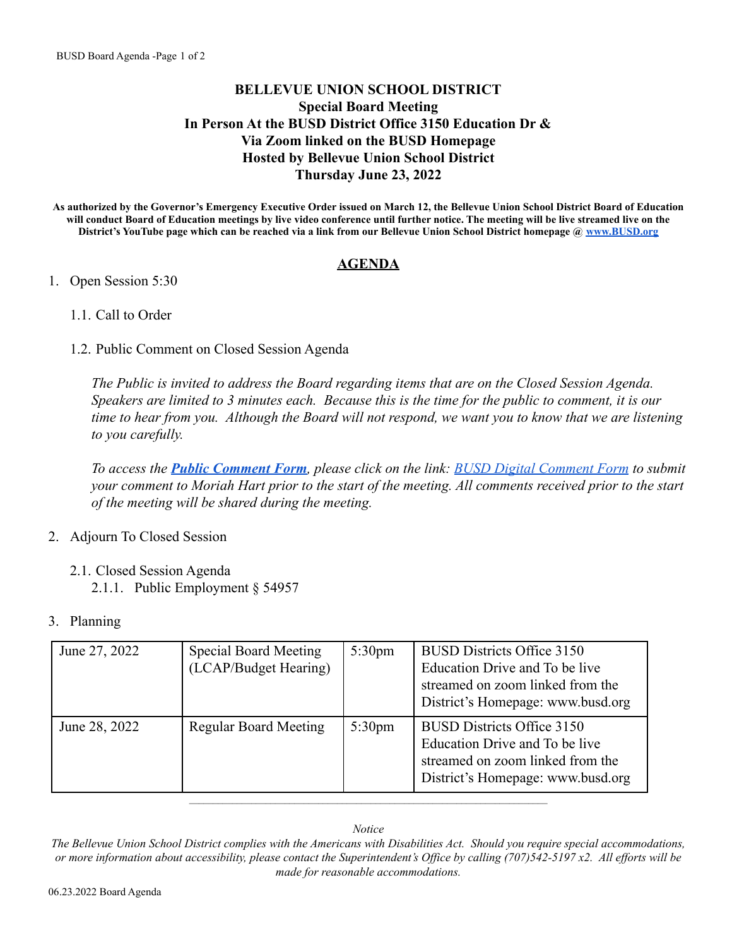#### **BELLEVUE UNION SCHOOL DISTRICT Special Board Meeting In Person At the BUSD District Office 3150 Education Dr & Via Zoom linked on the BUSD Homepage Hosted by Bellevue Union School District Thursday June 23, 2022**

**As authorized by the Governor's Emergency Executive Order issued on March 12, the Bellevue Union School District Board of Education will conduct Board of Education meetings by live video conference until further notice. The meeting will be live streamed live on the District's YouTube page which can be reached via a link from our Bellevue Union School District homepage @ [www.BUSD.org](http://www.busd.org)**

#### **AGENDA**

#### 1. Open Session 5:30

- 1.1. Call to Order
- 1.2. Public Comment on Closed Session Agenda

*The Public is invited to address the Board regarding items that are on the Closed Session Agenda. Speakers are limited to 3 minutes each. Because this is the time for the public to comment, it is our time to hear from you. Although the Board will not respond, we want you to know that we are listening to you carefully.*

*To access the [Public Comment Form](https://docs.google.com/forms/d/e/1FAIpQLScvm9pdLM1gYW2e4OxDdWLZiaW-645cxIh16oQm9dZa3YS4TQ/viewform), please click on the link: [BUSD Digital Comment Form](https://docs.google.com/forms/d/e/1FAIpQLScvm9pdLM1gYW2e4OxDdWLZiaW-645cxIh16oQm9dZa3YS4TQ/viewform) to submit your comment to Moriah Hart prior to the start of the meeting. All comments received prior to the start of the meeting will be shared during the meeting.*

- 2. Adjourn To Closed Session
	- 2.1. Closed Session Agenda 2.1.1. Public Employment § 54957
- 3. Planning

| June 27, 2022 | <b>Special Board Meeting</b><br>(LCAP/Budget Hearing) | 5:30 <sub>pm</sub> | <b>BUSD Districts Office 3150</b><br>Education Drive and To be live<br>streamed on zoom linked from the<br>District's Homepage: www.busd.org |
|---------------|-------------------------------------------------------|--------------------|----------------------------------------------------------------------------------------------------------------------------------------------|
| June 28, 2022 | <b>Regular Board Meeting</b>                          | 5:30 <sub>pm</sub> | <b>BUSD Districts Office 3150</b><br>Education Drive and To be live<br>streamed on zoom linked from the<br>District's Homepage: www.busd.org |

#### *Notice*

 $\_$  , and the set of the set of the set of the set of the set of the set of the set of the set of the set of the set of the set of the set of the set of the set of the set of the set of the set of the set of the set of th

The Bellevue Union School District complies with the Americans with Disabilities Act. Should you require special accommodations, or more information about accessibility, please contact the Superintendent's Office by calling (707)542-5197 x2. All efforts will be *made for reasonable accommodations.*